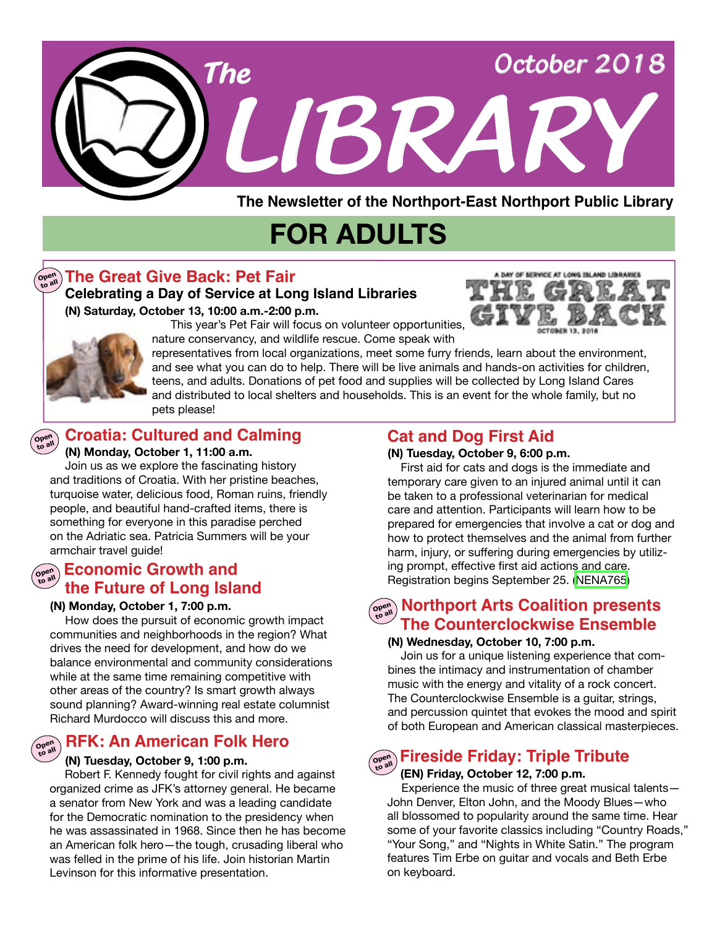

# **FOR ADULTS**

### **The Great Give Back: Pet Fair Open to all**

#### **(N) Saturday, October 13, 10:00 a.m.-2:00 p.m. Celebrating a Day of Service at Long Island Libraries**



 This year's Pet Fair will focus on volunteer opportunities, nature conservancy, and wildlife rescue. Come speak with

**Open** 

representatives from local organizations, meet some furry friends, learn about the environment, and see what you can do to help. There will be live animals and hands-on activities for children, teens, and adults. Donations of pet food and supplies will be collected by Long Island Cares and distributed to local shelters and households. This is an event for the whole family, but no pets please!

### **to all Croatia: Cultured and Calming**

#### **(N) Monday, October 1, 11:00 a.m.**

 Join us as we explore the fascinating history and traditions of Croatia. With her pristine beaches, turquoise water, delicious food, Roman ruins, friendly people, and beautiful hand-crafted items, there is something for everyone in this paradise perched on the Adriatic sea. Patricia Summers will be your armchair travel quide!

### **Open to all Economic Growth and the Future of Long Island**

#### **(N) Monday, October 1, 7:00 p.m.**

 How does the pursuit of economic growth impact communities and neighborhoods in the region? What drives the need for development, and how do we balance environmental and community considerations while at the same time remaining competitive with other areas of the country? Is smart growth always sound planning? Award-winning real estate columnist Richard Murdocco will discuss this and more.

#### **Open to all RFK: An American Folk Hero**

#### **(N) Tuesday, October 9, 1:00 p.m.**

 Robert F. Kennedy fought for civil rights and against organized crime as JFK's attorney general. He became a senator from New York and was a leading candidate for the Democratic nomination to the presidency when he was assassinated in 1968. Since then he has become an American folk hero—the tough, crusading liberal who was felled in the prime of his life. Join historian Martin Levinson for this informative presentation.

### **Cat and Dog First Aid**

#### **(N) Tuesday, October 9, 6:00 p.m.**

First aid for cats and dogs is the immediate and temporary care given to an injured animal until it can be taken to a professional veterinarian for medical care and attention. Participants will learn how to be prepared for emergencies that involve a cat or dog and how to protect themselves and the animal from further harm, injury, or suffering during emergencies by utilizing prompt, effective first aid actions and care. Registration begins September 25. ([NENA765](https://search.livebrary.com/record%3Dg1084501~S43))

### **Morthport Arts Coalition presents The Counterclockwise Ensemble**

#### **(N) Wednesday, October 10, 7:00 p.m.**

Join us for a unique listening experience that combines the intimacy and instrumentation of chamber music with the energy and vitality of a rock concert. The Counterclockwise Ensemble is a guitar, strings, and percussion quintet that evokes the mood and spirit of both European and American classical masterpieces.

## **Open to all Fireside Friday: Triple Tribute**

#### **(EN) Friday, October 12, 7:00 p.m.**

 Experience the music of three great musical talents— John Denver, Elton John, and the Moody Blues—who all blossomed to popularity around the same time. Hear some of your favorite classics including "Country Roads," "Your Song," and "Nights in White Satin." The program features Tim Erbe on guitar and vocals and Beth Erbe on keyboard.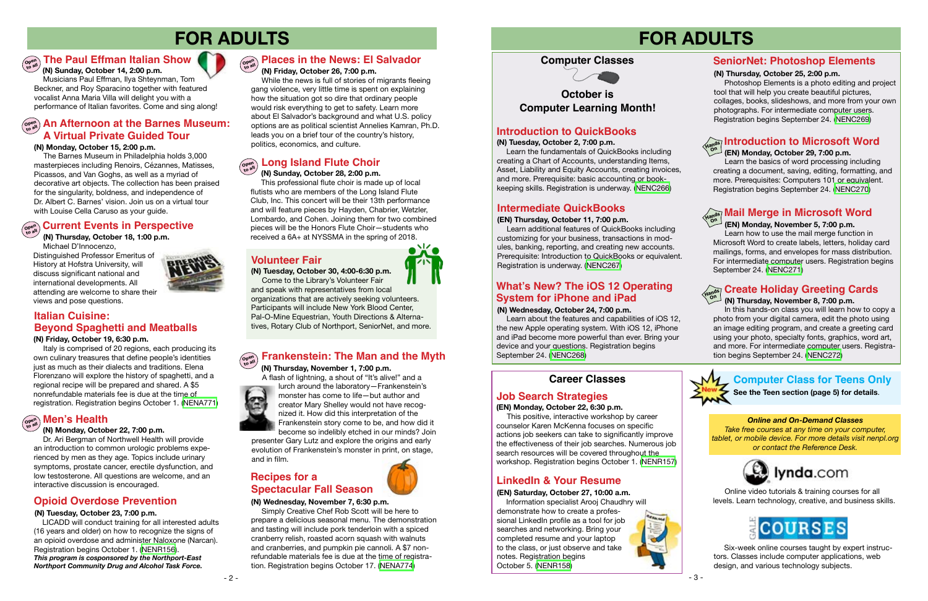## **FOR ADULTS**



**(N) Monday, October 15, 2:00 p.m.**

 The Barnes Museum in Philadelphia holds 3,000 masterpieces including Renoirs, Cézannes, Matisses, Picassos, and Van Goghs, as well as a myriad of decorative art objects. The collection has been praised for the singularity, boldness, and independence of Dr. Albert C. Barnes' vision. Join us on a virtual tour with Louise Cella Caruso as your guide.

## $\left(\begin{smallmatrix} \mathbf{C} & \mathbf{C} & \mathbf{C} & \mathbf{C} \ \mathbf{C} & \mathbf{C} & \mathbf{C} \end{smallmatrix}\right)$  Current Events in Perspective

Italy is comprised of 20 regions, each producing its own culinary treasures that define people's identities just as much as their dialects and traditions. Elena Florenzano will explore the history of spaghetti, and a regional recipe will be prepared and shared. A \$5 nonrefundable materials fee is due at the time of registration. Registration begins October 1. ([NENA771](https://search.livebrary.com/record%3Dg1085699~S43))

#### **(N) Friday, October 19, 6:30 p.m.**





## **FOR ADULTS**

#### **(N) Wednesday, October 24, 7:00 p.m.**

 Learn about the features and capabilities of iOS 12, the new Apple operating system. With iOS 12, iPhone and iPad become more powerful than ever. Bring your device and your questions. Registration begins September 24. [\(NENC268\)](https://search.livebrary.com/record%3Dg1085801~S43)

### **LinkedIn & Your Resume**

#### **(EN) Saturday, October 27, 10:00 a.m.**

Information specialist Arooj Chaudhry will demonstrate how to create a professional LinkedIn profile as a tool for job searches and networking. Bring your completed resume and your laptop to the class, or just observe and take notes. Registration begins October 5. [\(NENR158](https://search.livebrary.com/record%3Dg1085745~S43))



#### **(EN) Monday, October 22, 6:30 p.m.**

### **Open to all The Paul Effman Italian Show**

This positive, interactive workshop by career counselor Karen McKenna focuses on specific actions job seekers can take to significantly improve the effectiveness of their job searches. Numerous job search resources will be covered throughout the workshop. Registration begins October 1. [\(NENR157](https://search.livebrary.com/record%3Dg1085739~S43))

### **An Afternoon at the Barnes Museum: Open to all A Virtual Private Guided Tour**

### **Job Search Strategies**

### **Introduction to QuickBooks**

#### $\left(\begin{smallmatrix} \mathbf{p} & \mathbf{p} \\ \mathbf{p} & \mathbf{p} \end{smallmatrix}\right)$  **Places in the News: El Salvador (N) Friday, October 26, 7:00 p.m.**

#### **(N) Tuesday, October 2, 7:00 p.m.**

### **Italian Cuisine: Beyond Spaghetti and Meatballs**

 Learn the fundamentals of QuickBooks including creating a Chart of Accounts, understanding Items, Asset, Liability and Equity Accounts, creating invoices, and more. Prerequisite: basic accounting or bookkeeping skills. Registration is underway. ([NENC266\)](https://search.livebrary.com/record%3Dg1017275~S43)

### **Career Classes**

### **October is Computer Learning Month!**

 **(N) Sunday, October 14, 2:00 p.m.**  Musicians Paul Effman, Ilya Shteynman, Tom Beckner, and Roy Sparacino together with featured vocalist Anna Maria Villa will delight you with a performance of Italian favorites. Come and sing along!

 **(EN) Monday, October 29, 7:00 p.m.** 

### **Introduction to Microsoft Word Hands On**

 Learn the basics of word processing including creating a document, saving, editing, formatting, and more. Prerequisites: Computers 101 or equivalent. Registration begins September 24. [\(NENC270\)](https://search.livebrary.com/record%3Dg1085805~S43)

#### **(N) Thursday, October 25, 2:00 p.m.**

 Photoshop Elements is a photo editing and project tool that will help you create beautiful pictures, collages, books, slideshows, and more from your own photographs. For intermediate computer users. Registration begins September 24. [\(NENC269\)](https://search.livebrary.com/record%3Dg1085803~S43)

### **SeniorNet: Photoshop Elements**

 **(N) Thursday, October 18, 1:00 p.m.** Michael D'Innocenzo,

Distinguished Professor Emeritus of History at Hofstra University, will discuss significant national and international developments. All attending are welcome to share their views and pose questions.

### **What's New? The iOS 12 Operating System for iPhone and iPad**

#### **(N) Monday, October 22, 7:00 p.m.**

#### **Open to all Men's Health**

Dr. Ari Bergman of Northwell Health will provide an introduction to common urologic problems experienced by men as they age. Topics include urinary symptoms, prostate cancer, erectile dysfunction, and low testosterone. All questions are welcome, and an interactive discussion is encouraged.

 While the news is full of stories of migrants fleeing gang violence, very little time is spent on explaining how the situation got so dire that ordinary people would risk everything to get to safety. Learn more about El Salvador's background and what U.S. policy options are as political scientist Annelies Kamran, Ph.D. leads you on a brief tour of the country's history, politics, economics, and culture.

#### **Long Island Flute Choir Open to all**

 **(N) Sunday, October 28, 2:00 p.m.** This professional flute choir is made up of local flutists who are members of the Long Island Flute Club, Inc. This concert will be their 13th performance and will feature pieces by Hayden, Chabrier, Wetzler, Lombardo, and Cohen. Joining them for two combined pieces will be the Honors Flute Choir—students who received a 6A+ at NYSSMA in the spring of 2018.

#### **(N) Wednesday, November 7, 6:30 p.m.**

### **Recipes for a Spectacular Fall Season**

 Simply Creative Chef Rob Scott will be here to prepare a delicious seasonal menu. The demonstration and tasting will include pork tenderloin with a spiced cranberry relish, roasted acorn squash with walnuts and cranberries, and pumpkin pie cannoli. A \$7 nonrefundable materials fee is due at the time of registration. Registration begins October 17. [\(NENA774\)](https://search.livebrary.com/record%3Dg1085721~S43)

### **Intermediate QuickBooks**

 **(EN) Thursday, October 11, 7:00 p.m.** 

Learn additional features of QuickBooks including customizing for your business, transactions in modules, banking, reporting, and creating new accounts. Prerequisite: Introduction to QuickBooks or equivalent. Registration is underway. [\(NENC267\)](https://search.livebrary.com/record%3Dg1084686~S43)

#### **(EN) Monday, November 5, 7:00 p.m.**

#### **Mail Merge in Microsoft Word Hands On**

 Learn how to use the mail merge function in Microsoft Word to create labels, letters, holiday card mailings, forms, and envelopes for mass distribution. For intermediate computer users. Registration begins September 24. [\(NENC271\)](https://search.livebrary.com/record%3Dg1075107~S43)

### **Create Holiday Greeting Cards Hands On (N) Thursday, November 8, 7:00 p.m.**

 In this hands-on class you will learn how to copy a photo from your digital camera, edit the photo using an image editing program, and create a greeting card using your photo, specialty fonts, graphics, word art, and more. For intermediate computer users. Registration begins September 24. [\(NENC272\)](https://search.livebrary.com/record%3Dg1085807~S43)



#### **(N) Thursday, November 1, 7:00 p.m.**

A flash of lightning, a shout of "It's alive!" and a



lurch around the laboratory—Frankenstein's monster has come to life—but author and creator Mary Shelley would not have recognized it. How did this interpretation of the Frankenstein story come to be, and how did it

#### **Frankenstein: The Man and the Myth Open to all**

become so indelibly etched in our minds? Join presenter Gary Lutz and explore the origins and early evolution of Frankenstein's monster in print, on stage, and in film.

> Online video tutorials & training courses for all levels. Learn technology, creative, and business skills.



#### *Online and On-Demand Classes*

*Take free courses at any time on your computer, tablet, or mobile device. For more details visit nenpl.org or contact the Reference Desk.*



 Six-week online courses taught by expert instructors. Classes include computer applications, web design, and various technology subjects.

### **Opioid Overdose Prevention**

#### **( N) Tuesday, October 23, 7:00 p.m.**

LICADD will conduct training for all interested adults (16 years and older) on how to recognize the signs of an opioid overdose and administer Naloxone (Narcan). Registration begins October 1. ([NENR156](https://search.livebrary.com/record%3Dg1085740~S43)). *This program is cosponsored by the Northport-East Northport Community Drug and Alcohol Task Force.*

$$
\bigcirc
$$
 or

### **Volunteer Fair**

#### **(N) Tuesday, October 30, 4:00-6:30 p.m.**

Come to the Library's Volunteer Fair and speak with representatives from local organizations that are actively seeking volunteers. Participants will include New York Blood Center,

Pal-O-Mine Equestrian, Youth Directions & Alternatives, Rotary Club of Northport, SeniorNet, and more.

### **Computer Class for Teens Only**

**See the Teen section (page 5) for details**.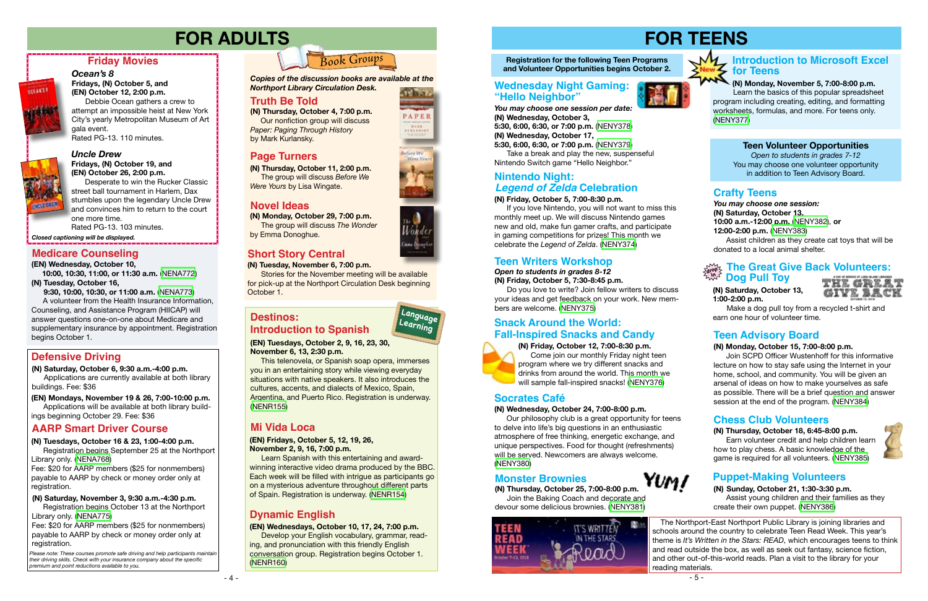## **FOR TEENS**

**Registration for the following Teen Programs and Volunteer Opportunities begins October 2.**

**(N) Friday, October 12, 7:00-8:30 p.m.** Come join our monthly Friday night teen program where we try different snacks and drinks from around the world. This month we will sample fall-inspired snacks! [\(NENY376\)](https://search.livebrary.com/record%3Dg1085537~S43)

#### **(N) Friday, October 5, 7:00-8:30 p.m.**

 If you love Nintendo, you will not want to miss this monthly meet up. We will discuss Nintendo games new and old, make fun gamer crafts, and participate in gaming competitions for prizes! This month we celebrate the *Legend of Zelda*. ([NENY374\)](https://search.livebrary.com/record%3Dg1085528~S43)

#### **Teen Volunteer Opportunities**

*Open to students in grades 7-12* You may choose one volunteer opportunity in addition to Teen Advisory Board.

*You may choose one session:* **(N) Saturday, October 13, 10:00 a.m.-12:00 p.m.** [\(NENY382](https://search.livebrary.com/record%3Dg1085711~S43)), **or 12:00-2:00 p.m.** ([NENY383](https://search.livebrary.com/record%3Dg1085713~S43))

Please note: These courses promote safe driving and help participants maintain *their driving skills. Check with your insurance company about the specific premium and point reductions available to you.*

 Assist children as they create cat toys that will be donated to a local animal shelter.

### **Crafty Teens**

- 4 -

Fee: \$20 for AARP members (\$25 for nonmembers) payable to AARP by check or money order only at registration.

#### *Uncle Drew* **Fridays, (N) October 19, and (EN) October 26, 2:00 p.m.**

Desperate to win the Rucker Classic street ball tournament in Harlem, Dax stumbles upon the legendary Uncle Drew and convinces him to return to the court one more time. Rated PG-13. 103 minutes.

Fee: \$20 for AARP members (\$25 for nonmembers) payable to AARP by check or money order only at registration.

### **Friday Movies**

### *Ocean's 8*

**Fridays, (N) October 5, and (EN) October 12, 2:00 p.m.** 

> **(N) Thursday, October 4, 7:00 p.m.**  Our nonfiction group will discuss *Paper: Paging Through History* by Mark Kurlansky.

Debbie Ocean gathers a crew to attempt an impossible heist at New York City's yearly Metropolitan Museum of Art gala event. Rated PG-13. 110 minutes.



**AZEANTS** 

*Closed captioning will be displayed.*

## **FOR ADULTS**

### **Defensive Driving**

### **Teen Writers Workshop The Great Give Back Volunteers:** a<sub>rge</sub> The Great Graphy

### **AARP Smart Driver Course**

#### **(N) Saturday, October 6, 9:30 a.m.-4:00 p.m.**

Applications are currently available at both library buildings. Fee: \$36

#### **(N) Saturday, November 3, 9:30 a.m.-4:30 p.m.**

Registration begins October 13 at the Northport Library only. [\(NENA775](https://search.livebrary.com/record%3Dg1085723~S43))

**(EN) Mondays, November 19 & 26, 7:00-10:00 p.m.** Applications will be available at both library buildings beginning October 29. Fee: \$36

#### **(N) Tuesdays, October 16 & 23, 1:00-4:00 p.m.**

Registration begins September 25 at the Northport Library only. ([NENA768](https://search.livebrary.com/record%3Dg1085744~S43))

## *Book Groups*

**(N) Monday, October 29, 7:00 p.m.** The group will discuss *The Wonder* by Emma Donoghue.

**(N) Thursday, October 11, 2:00 p.m.** The group will discuss *Before We Were Yours* by Lisa Wingate.

*Copies of the discussion books are available at the Northport Library Circulation Desk.* 

#### **Truth Be Told**

### **Novel Ideas**

### **Page Turners**

### **Short Story Central**

**(N) Tuesday, November 6, 7:00 p.m.**

 Stories for the November meeting will be available for pick-up at the Northport Circulation Desk beginning October 1.

### **Snack Around the World: Fall-Inspired Snacks and Candy**



#### *Open to students in grades 8-12* **(N) Friday, October 5, 7:30-8:45 p.m.**

 Do you love to write? Join fellow writers to discuss your ideas and get feedback on your work. New members are welcome. ([NENY375](https://search.livebrary.com/record%3Dg1085530~S43))

### **Nintendo Night:** *Legend of Zelda* **Celebration**

#### **(N) Saturday, October 13, 1:00-2:00 p.m.**

 Make a dog pull toy from a recycled t-shirt and earn one hour of volunteer time.

### **Teen Advisory Board**

#### **(N) Monday, October 15, 7:00-8:00 p.m.**

 Join SCPD Officer Wustenhoff for this informative lecture on how to stay safe using the Internet in your home, school, and community. You will be given an arsenal of ideas on how to make yourselves as safe as possible. There will be a brief question and answer session at the end of the program. ([NENY384\)](https://search.livebrary.com/record%3Dg1085625~S43)

**(N) Thursday, October 18, 6:45-8:00 p.m.** Earn volunteer credit and help children learn how to play chess. A basic knowledge of the game is required for all volunteers. [\(NENY385](https://search.livebrary.com/record%3Dg1085671~S43))



#### **Chess Club Volunteers**

#### **(N) Sunday, October 21, 1:30-3:30 p.m.** Assist young children and their families as they create their own puppet. ([NENY386\)](https://search.livebrary.com/record%3Dg1085674~S43)

### **Puppet-Making Volunteers**

 The Northport-East Northport Public Library is joining libraries and schools around the country to celebrate Teen Read Week. This year's theme is *It's Written in the Stars: READ*, which encourages teens to think and read outside the box, as well as seek out fantasy, science fiction, and other out-of-this-world reads. Plan a visit to the library for your

reading materials.

Refere We Were Yax



**(EN) Tuesdays, October 2, 9, 16, 23, 30, November 6, 13, 2:30 p.m.** 

This telenovela, or Spanish soap opera, immerses you in an entertaining story while viewing everyday situations with native speakers. It also introduces the cultures, accents, and dialects of Mexico, Spain, Argentina, and Puerto Rico. Registration is underway. ([NENR155\)](https://search.livebrary.com/record%3Dg1084621~S43)

### **Destinos: Introduction to Spanish**

#### **(EN) Fridays, October 5, 12, 19, 26, November 2, 9, 16, 7:00 p.m.**

Learn Spanish with this entertaining and awardwinning interactive video drama produced by the BBC. Each week will be filled with intrigue as participants go on a mysterious adventure throughout different parts of Spain. Registration is underway. ([NENR154\)](https://search.livebrary.com/record%3Dg1084622~S43)

### **Mi Vida Loca**

**Language Learning**

PAPER **WALK** 

#### **(EN) Wednesdays, October 10, 17, 24, 7:00 p.m.**

Develop your English vocabulary, grammar, reading, and pronunciation with this friendly English conversation group. Registration begins October 1. ([NENR160](https://search.livebrary.com/record%3Dg1085715~S43))

### **Dynamic English**

**(EN) Wednesday, October 10, 10:00, 10:30, 11:00, or 11:30 a.m.** ([NENA772](https://search.livebrary.com/record%3Dg1085724~S43)) **(N) Tuesday, October 16,**

 **9:30, 10:00, 10:30, or 11:00 a.m.** [\(NENA773\)](https://search.livebrary.com/record%3Dg1085744~S43) A volunteer from the Health Insurance Information,

Counseling, and Assistance Program (HIICAP) will answer questions one-on-one about Medicare and supplementary insurance by appointment. Registration begins October 1.

### **Medicare Counseling**

*You may choose one session per date:* **(N) Wednesday, October 3, 5:30, 6:00, 6:30, or 7:00 p.m.** [\(NENY378\)](https://search.livebrary.com/record%3Dg1085612~S43) **(N) Wednesday, October 17, 5:30, 6:00, 6:30, or 7:00 p.m.** [\(NENY379\)](https://search.livebrary.com/record%3Dg1085620~S43)

 Take a break and play the new, suspenseful Nintendo Switch game "Hello Neighbor."

### **Wednesday Night Gaming: "Hello Neighbor"**



#### **(N) Wednesday, October 24, 7:00-8:00 p.m.**

 Our philosophy club is a great opportunity for teens to delve into life's big questions in an enthusiastic atmosphere of free thinking, energetic exchange, and unique perspectives. Food for thought (refreshments) will be served. Newcomers are always welcome. ([NENY380](https://search.livebrary.com/record%3Dg1085539~S43))

### **Socrates Café**

**(N) Thursday, October 25, 7:00-8:00 p.m.** Join the Baking Coach and decorate and devour some delicious brownies. ([NENY381\)](https://search.livebrary.com/record%3Dg1085611~S43)



### **Monster Brownies**



## **(N) Monday, November 5, 7:00-8:00 p.m.**

**Introduction to Microsoft Excel for Teens** 

 Learn the basics of this popular spreadsheet program including creating, editing, and formatting worksheets, formulas, and more. For teens only. [\(NENY377\)](https://search.livebrary.com/record%3Dg1085667~S43)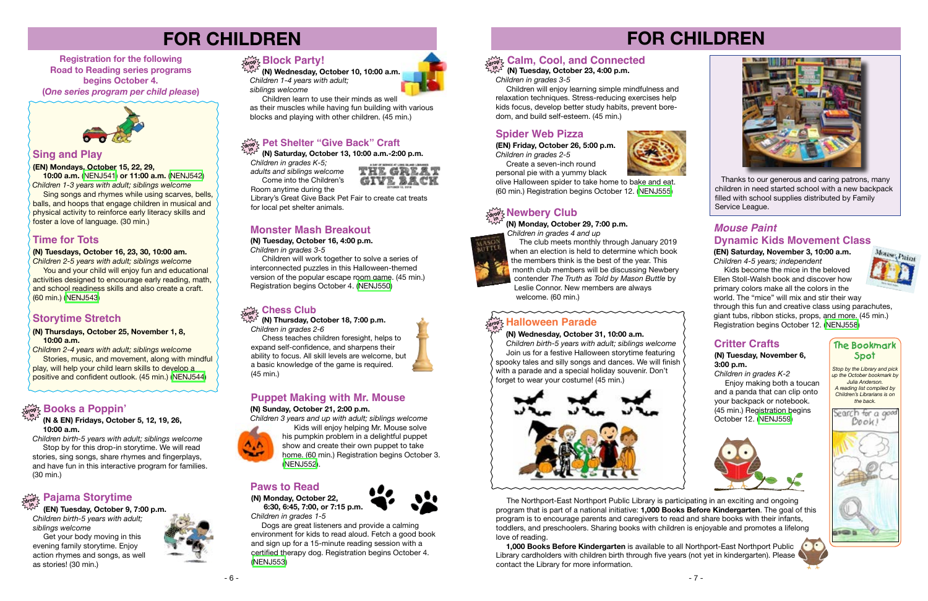#### **(N) Tuesdays, October 16, 23, 30, 10:00 am.**

*Children 2-5 years with adult; siblings welcome* You and your child will enjoy fun and educational activities designed to encourage early reading, math, and school readiness skills and also create a craft. (60 min.) ([NENJ543](https://search.livebrary.com/record%3Dg1085234~S43))

#### **Sing and Play**

#### **(EN) Mondays, October 15, 22, 29,**

 **10:00 a.m.** [\(NENJ541\)](https://search.livebrary.com/record%3Dg1085618~S43) **or 11:00 a.m.** ([NENJ542\)](https://search.livebrary.com/record%3Dg1085581~S43) *Children 1-3 years with adult; siblings welcome* Sing songs and rhymes while using scarves, bells, balls, and hoops that engage children in musical and physical activity to reinforce early literacy skills and foster a love of language. (30 min.)

## **FOR CHILDREN**

**Registration for the following Road to Reading series programs begins October 4. (***One series program per child please***)** 



## **drop in Calm, Cool, and Connected**

### **Time for Tots**

### **Monster Mash Breakout**

**(N) Tuesday, October 16, 4:00 p.m.**

*Children in grades 3-5*

 Children will work together to solve a series of interconnected puzzles in this Halloween-themed version of the popular escape room game. (45 min.) Registration begins October 4. [\(NENJ550\)](https://search.livebrary.com/record%3Dg1084649~S43)

#### **(N & EN) Fridays, October 5, 12, 19, 26, 10:00 a.m.**

*Children birth-5 years with adult; siblings welcome* Stop by for this drop-in storytime. We will read stories, sing songs, share rhymes and fingerplays, and have fun in this interactive program for families. (30 min.)

## **drop in Books a Poppin'**

# **FOR CHILDREN**





**(N) Tuesday, October 23, 4:00 p.m.**

*Children in grades 3-5*

#### **drop in Newbery Club**

 Children will enjoy learning simple mindfulness and relaxation techniques. Stress-reducing exercises help kids focus, develop better study habits, prevent boredom, and build self-esteem. (45 min.)

 **(N) Monday, October 29, 7:00 p.m.**



**Create a seven-inch round** personal pie with a yummy black

*Children in grades 4 and up* The club meets monthly through January 2019 when an election is held to determine which book the members think is the best of the year. This month club members will be discussing Newbery contender *The Truth as Told by Mason Buttle* by Leslie Connor. New members are always welcome. (60 min.)

 The Northport-East Northport Public Library is participating in an exciting and ongoing program that is part of a national initiative: **1,000 Books Before Kindergarten**. The goal of this program is to encourage parents and caregivers to read and share books with their infants, toddlers, and preschoolers. Sharing books with children is enjoyable and promotes a lifelong love of reading.

 **1,000 Books Before Kindergarten** is available to all Northport-East Northport Public Library cardholders with children birth through five years (not yet in kindergarten). Please contact the Library for more information.





*Children in grades K-5; adults and siblings welcome*  Come into the Children's Room anytime during the



 **(N) Saturday, October 13, 10:00 a.m.-2:00 p.m. in**

> Kids become the mice in the beloved Ellen Stoll-Walsh book and discover how primary colors make all the colors in the



Library's Great Give Back Pet Fair to create cat treats for local pet shelter animals.

#### **Chess Club drop**

**(N) Thursday, October 18, 7:00 p.m.** *Children in grades 2-6* **in**

 Chess teaches children foresight, helps to expand self-confidence, and sharpens their ability to focus. All skill levels are welcome, but a basic knowledge of the game is required. (45 min.)

*Stop by the Library and pick up the October bookmark by Julia Anderson. A reading list compiled by Children's Librarians is on the back.*



#### **The Bookmark Spot**

### **Spider Web Pizza**

**(EN) Friday, October 26, 5:00 p.m.** *Children in grades 2-5*

olive Halloween spider to take home to bake and eat. (60 min.) Registration begins October 12. [\(NENJ555\)](https://search.livebrary.com/record%3Dg1085550~S43)

#### **(N) Wednesday, October 31, 10:00 a.m.**

#### **Halloween Parade drop in**

 *Children birth-5 years with adult; siblings welcome* Join us for a festive Halloween storytime featuring spooky tales and silly songs and dances. We will finish with a parade and a special holiday souvenir. Don't forget to wear your costume! (45 min.)



 Thanks to our generous and caring patrons, many children in need started school with a new backpack filled with school supplies distributed by Family Service League.

#### **(N) Thursdays, October 25, November 1, 8, 10:00 a.m.**

*Children 2-4 years with adult; siblings welcome* Stories, music, and movement, along with mindful play, will help your child learn skills to develop a positive and confident outlook. (45 min.) [\(NENJ544\)](https://search.livebrary.com/record%3Dg1084653~S43)

### **Storytime Stretch**

 **(EN) Tuesday, October 9, 7:00 p.m.** *Children birth-5 years with adult;*

*siblings welcome* Get your body moving in this

#### **Pajama Storytime drop in**

evening family storytime. Enjoy action rhymes and songs, as well as stories! (30 min.)



 **(N) Wednesday, October 10, 10:00 a.m.**  *Children 1-4 years with adult; siblings welcome*

 Children learn to use their minds as well as their muscles while having fun building with various

blocks and playing with other children. (45 min.)

### $\frac{1}{\deg \Phi_{\zeta}}$  Pet Shelter "Give Back" Craft

### **drop in Block Party!**

### **Puppet Making with Mr. Mouse**

#### **(N) Sunday, October 21, 2:00 p.m.**

*Children 3 years and up with adult; siblings welcome*



 Kids will enjoy helping Mr. Mouse solve his pumpkin problem in a delightful puppet show and create their own puppet to take home. (60 min.) Registration begins October 3. [\(NENJ552\)](https://search.livebrary.com/record%3Dg1084651~S43).

### **Paws to Read**

#### **(N) Monday, October 22,**

 **6:30, 6:45, 7:00, or 7:15 p.m.** *Children in grades 1-5*



 Dogs are great listeners and provide a calming environment for kids to read aloud. Fetch a good book and sign up for a 15-minute reading session with a certified therapy dog. Registration begins October 4. ([NENJ553](https://search.livebrary.com/record%3Dg1084652~S43))



**(EN) Saturday, November 3, 10:00 a.m.** *Children 4-5 years; independent*

### *Mouse Paint* **Dynamic Kids Movement Class**

world. The "mice" will mix and stir their way through this fun and creative class using parachutes, giant tubs, ribbon sticks, props, and more. (45 min.) Registration begins October 12. [\(NENJ558](https://search.livebrary.com/record%3Dg1085572~S43))

### **Critter Crafts**

#### **(N) Tuesday, November 6, 3:00 p.m.**

*Children in grades K-2* **Enjoy making both a toucan** and a panda that can clip onto your backpack or notebook. (45 min.) Registration begins October 12. ([NENJ559](https://search.livebrary.com/record%3Dg1085654~S43))